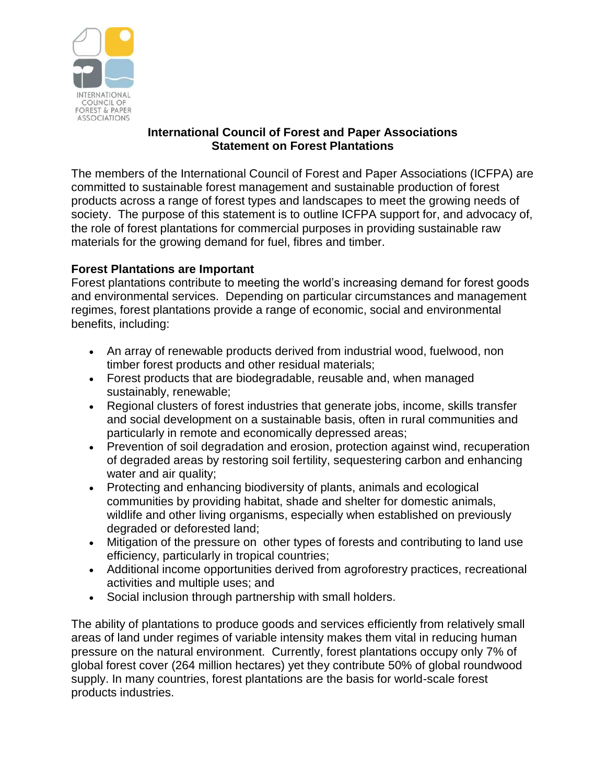

### **International Council of Forest and Paper Associations Statement on Forest Plantations**

The members of the International Council of Forest and Paper Associations (ICFPA) are committed to sustainable forest management and sustainable production of forest products across a range of forest types and landscapes to meet the growing needs of society. The purpose of this statement is to outline ICFPA support for, and advocacy of, the role of forest plantations for commercial purposes in providing sustainable raw materials for the growing demand for fuel, fibres and timber.

# **Forest Plantations are Important**

Forest plantations contribute to meeting the world's increasing demand for forest goods and environmental services. Depending on particular circumstances and management regimes, forest plantations provide a range of economic, social and environmental benefits, including:

- An array of renewable products derived from industrial wood, fuelwood, non timber forest products and other residual materials;
- Forest products that are biodegradable, reusable and, when managed sustainably, renewable;
- Regional clusters of forest industries that generate jobs, income, skills transfer and social development on a sustainable basis, often in rural communities and particularly in remote and economically depressed areas;
- Prevention of soil degradation and erosion, protection against wind, recuperation of degraded areas by restoring soil fertility, sequestering carbon and enhancing water and air quality;
- Protecting and enhancing biodiversity of plants, animals and ecological communities by providing habitat, shade and shelter for domestic animals, wildlife and other living organisms, especially when established on previously degraded or deforested land;
- Mitigation of the pressure on other types of forests and contributing to land use efficiency, particularly in tropical countries;
- Additional income opportunities derived from agroforestry practices, recreational activities and multiple uses; and
- Social inclusion through partnership with small holders.

The ability of plantations to produce goods and services efficiently from relatively small areas of land under regimes of variable intensity makes them vital in reducing human pressure on the natural environment. Currently, forest plantations occupy only 7% of global forest cover (264 million hectares) yet they contribute 50% of global roundwood supply. In many countries, forest plantations are the basis for world-scale forest products industries.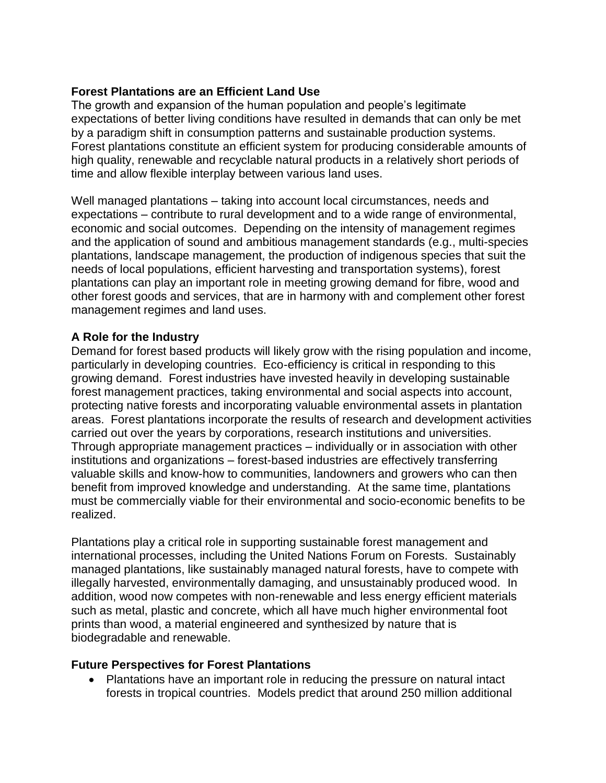### **Forest Plantations are an Efficient Land Use**

The growth and expansion of the human population and people's legitimate expectations of better living conditions have resulted in demands that can only be met by a paradigm shift in consumption patterns and sustainable production systems. Forest plantations constitute an efficient system for producing considerable amounts of high quality, renewable and recyclable natural products in a relatively short periods of time and allow flexible interplay between various land uses.

Well managed plantations – taking into account local circumstances, needs and expectations – contribute to rural development and to a wide range of environmental, economic and social outcomes. Depending on the intensity of management regimes and the application of sound and ambitious management standards (e.g., multi-species plantations, landscape management, the production of indigenous species that suit the needs of local populations, efficient harvesting and transportation systems), forest plantations can play an important role in meeting growing demand for fibre, wood and other forest goods and services, that are in harmony with and complement other forest management regimes and land uses.

### **A Role for the Industry**

Demand for forest based products will likely grow with the rising population and income, particularly in developing countries. Eco-efficiency is critical in responding to this growing demand. Forest industries have invested heavily in developing sustainable forest management practices, taking environmental and social aspects into account, protecting native forests and incorporating valuable environmental assets in plantation areas. Forest plantations incorporate the results of research and development activities carried out over the years by corporations, research institutions and universities. Through appropriate management practices – individually or in association with other institutions and organizations – forest-based industries are effectively transferring valuable skills and know-how to communities, landowners and growers who can then benefit from improved knowledge and understanding. At the same time, plantations must be commercially viable for their environmental and socio-economic benefits to be realized.

Plantations play a critical role in supporting sustainable forest management and international processes, including the United Nations Forum on Forests. Sustainably managed plantations, like sustainably managed natural forests, have to compete with illegally harvested, environmentally damaging, and unsustainably produced wood. In addition, wood now competes with non-renewable and less energy efficient materials such as metal, plastic and concrete, which all have much higher environmental foot prints than wood, a material engineered and synthesized by nature that is biodegradable and renewable.

#### **Future Perspectives for Forest Plantations**

 Plantations have an important role in reducing the pressure on natural intact forests in tropical countries. Models predict that around 250 million additional